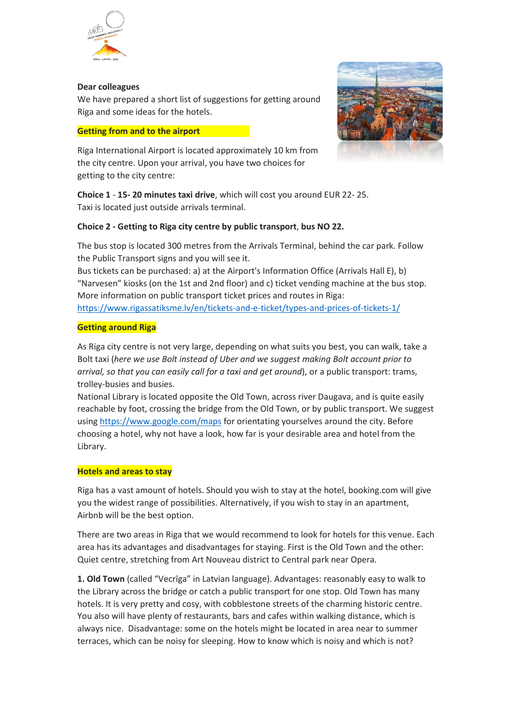

## **Dear colleagues**

We have prepared a short list of suggestions for getting around Riga and some ideas for the hotels.

## **Getting from and to the airport**

Riga International Airport is located approximately 10 km from the city centre. Upon your arrival, you have two choices for getting to the city centre:



**Choice 1** - **15- 20 minutes taxi drive**, which will cost you around EUR 22- 25. Taxi is located just outside arrivals terminal.

# **Choice 2 - Getting to Riga city centre by public transport**, **bus NO 22.**

The bus stop is located 300 metres from the Arrivals Terminal, behind the car park. Follow the Public Transport signs and you will see it.

Bus tickets can be purchased: a) at the Airport's Information Office (Arrivals Hall E), b) "Narvesen" kiosks (on the 1st and 2nd floor) and c) ticket vending machine at the bus stop. More information on public transport ticket prices and routes in Riga: <https://www.rigassatiksme.lv/en/tickets-and-e-ticket/types-and-prices-of-tickets-1/>

# **Getting around Riga**

As Riga city centre is not very large, depending on what suits you best, you can walk, take a Bolt taxi (*here we use Bolt instead of Uber and we suggest making Bolt account prior to arrival, so that you can easily call for a taxi and get around*), or a public transport: trams, trolley-busies and busies.

National Library is located opposite the Old Town, across river Daugava, and is quite easily reachable by foot, crossing the bridge from the Old Town, or by public transport. We suggest using<https://www.google.com/maps> for orientating yourselves around the city. Before choosing a hotel, why not have a look, how far is your desirable area and hotel from the Library.

# **Hotels and areas to stay**

Riga has a vast amount of hotels. Should you wish to stay at the hotel, booking.com will give you the widest range of possibilities. Alternatively, if you wish to stay in an apartment, Airbnb will be the best option.

There are two areas in Riga that we would recommend to look for hotels for this venue. Each area has its advantages and disadvantages for staying. First is the Old Town and the other: Quiet centre, stretching from Art Nouveau district to Central park near Opera.

**1. Old Town** (called "Vecrīga" in Latvian language). Advantages: reasonably easy to walk to the Library across the bridge or catch a public transport for one stop. Old Town has many hotels. It is very pretty and cosy, with cobblestone streets of the charming historic centre. You also will have plenty of restaurants, bars and cafes within walking distance, which is always nice. Disadvantage: some on the hotels might be located in area near to summer terraces, which can be noisy for sleeping. How to know which is noisy and which is not?